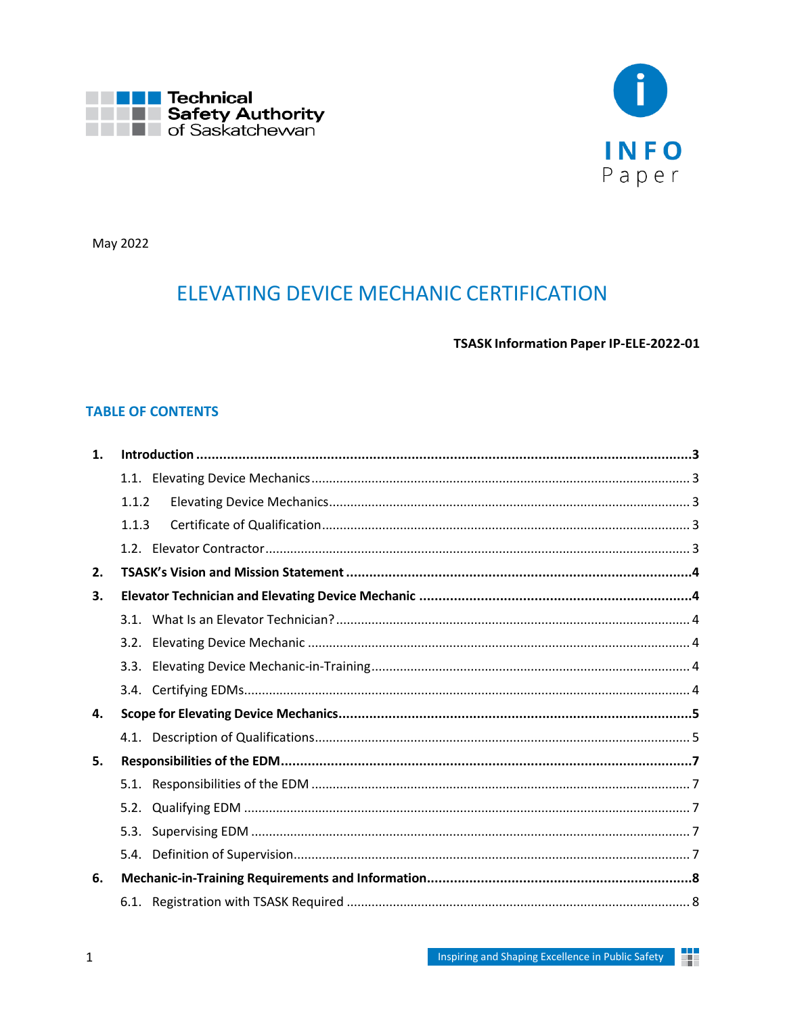



May 2022

# **ELEVATING DEVICE MECHANIC CERTIFICATION**

TSASK Information Paper IP-ELE-2022-01

# **TABLE OF CONTENTS**

| 1. |       |  |  |  |
|----|-------|--|--|--|
|    |       |  |  |  |
|    | 1.1.2 |  |  |  |
|    | 1.1.3 |  |  |  |
|    |       |  |  |  |
| 2. |       |  |  |  |
| 3. |       |  |  |  |
|    |       |  |  |  |
|    | 3.2.  |  |  |  |
|    | 3.3.  |  |  |  |
|    |       |  |  |  |
| 4. |       |  |  |  |
|    |       |  |  |  |
| 5. |       |  |  |  |
|    |       |  |  |  |
|    | 5.2.  |  |  |  |
|    | 5.3.  |  |  |  |
|    |       |  |  |  |
| 6. |       |  |  |  |
|    |       |  |  |  |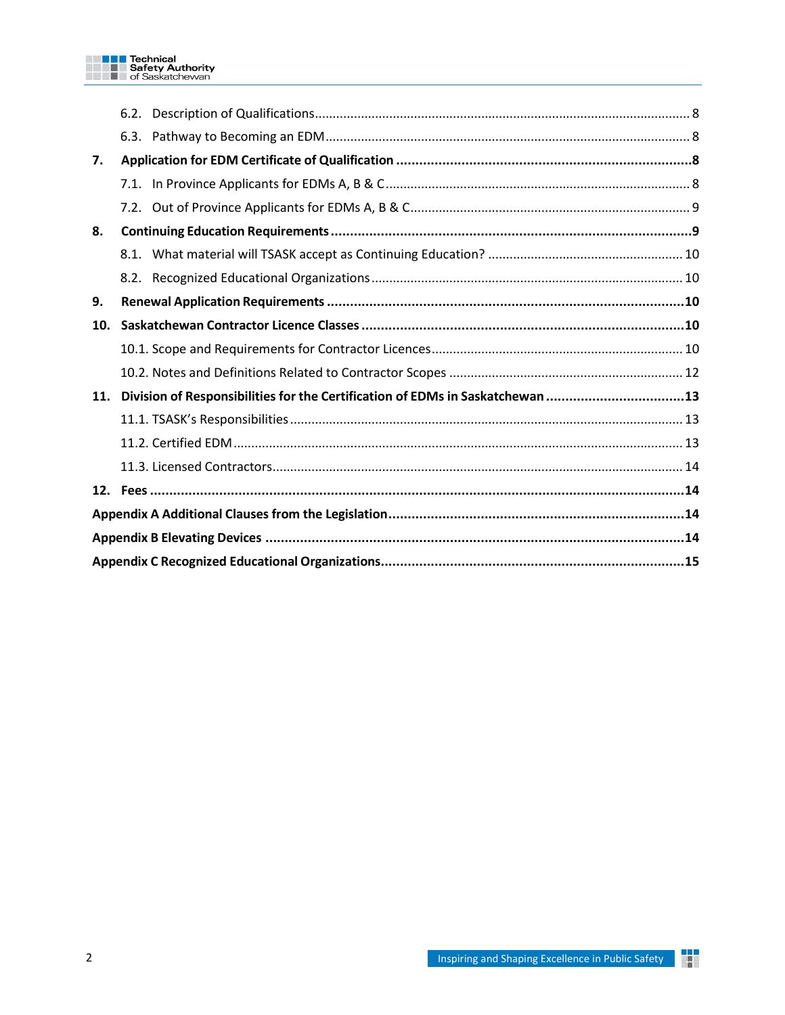|     | 6.3. |                                                                               |  |  |
|-----|------|-------------------------------------------------------------------------------|--|--|
| 7.  |      |                                                                               |  |  |
|     |      |                                                                               |  |  |
|     |      |                                                                               |  |  |
| 8.  |      |                                                                               |  |  |
|     |      |                                                                               |  |  |
|     |      |                                                                               |  |  |
| 9.  |      |                                                                               |  |  |
| 10. |      |                                                                               |  |  |
|     |      |                                                                               |  |  |
|     |      |                                                                               |  |  |
| 11. |      | Division of Responsibilities for the Certification of EDMs in Saskatchewan 13 |  |  |
|     |      |                                                                               |  |  |
|     |      |                                                                               |  |  |
|     |      |                                                                               |  |  |
|     |      |                                                                               |  |  |
|     |      |                                                                               |  |  |
|     |      |                                                                               |  |  |
|     |      |                                                                               |  |  |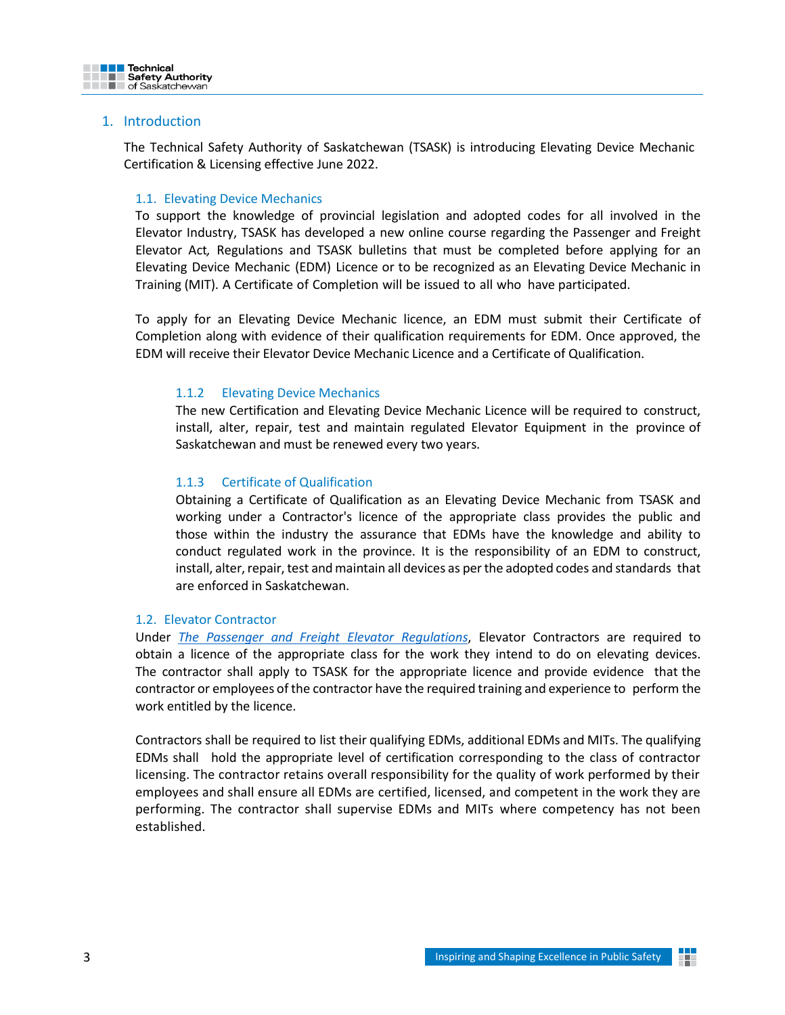

## <span id="page-2-0"></span>1. Introduction

The Technical Safety Authority of Saskatchewan (TSASK) is introducing Elevating Device Mechanic Certification & Licensing effective June 2022.

## <span id="page-2-1"></span>1.1. Elevating Device Mechanics

To support the knowledge of provincial legislation and adopted codes for all involved in the Elevator Industry, TSASK has developed a new online course regarding the Passenger and Freight Elevator Act*,* Regulations and TSASK bulletins that must be completed before applying for an Elevating Device Mechanic (EDM) Licence or to be recognized as an Elevating Device Mechanic in Training (MIT). A Certificate of Completion will be issued to all who have participated.

<span id="page-2-2"></span>To apply for an Elevating Device Mechanic licence, an EDM must submit their Certificate of Completion along with evidence of their qualification requirements for EDM. Once approved, the EDM will receive their Elevator Device Mechanic Licence and a Certificate of Qualification.

## 1.1.2 Elevating Device Mechanics

The new Certification and Elevating Device Mechanic Licence will be required to construct, install, alter, repair, test and maintain regulated Elevator Equipment in the province of Saskatchewan and must be renewed every two years.

## <span id="page-2-3"></span>1.1.3 Certificate of Qualification

Obtaining a Certificate of Qualification as an Elevating Device Mechanic from TSASK and working under a Contractor's licence of the appropriate class provides the public and those within the industry the assurance that EDMs have the knowledge and ability to conduct regulated work in the province. It is the responsibility of an EDM to construct, install, alter, repair, test and maintain all devices as per the adopted codes and standards that are enforced in Saskatchewan.

## <span id="page-2-4"></span>1.2. Elevator Contractor

Under *The Passenger and Freight Elevator [Regulations](https://publications.saskatchewan.ca/api/v1/products/88529/formats/105196/download)*, Elevator Contractors are required to obtain a licence of the appropriate class for the work they intend to do on elevating devices. The contractor shall apply to TSASK for the appropriate licence and provide evidence that the contractor or employees of the contractor have the required training and experience to perform the work entitled by the licence.

Contractors shall be required to list their qualifying EDMs, additional EDMs and MITs. The qualifying EDMs shall hold the appropriate level of certification corresponding to the class of contractor licensing. The contractor retains overall responsibility for the quality of work performed by their employees and shall ensure all EDMs are certified, licensed, and competent in the work they are performing. The contractor shall supervise EDMs and MITs where competency has not been established.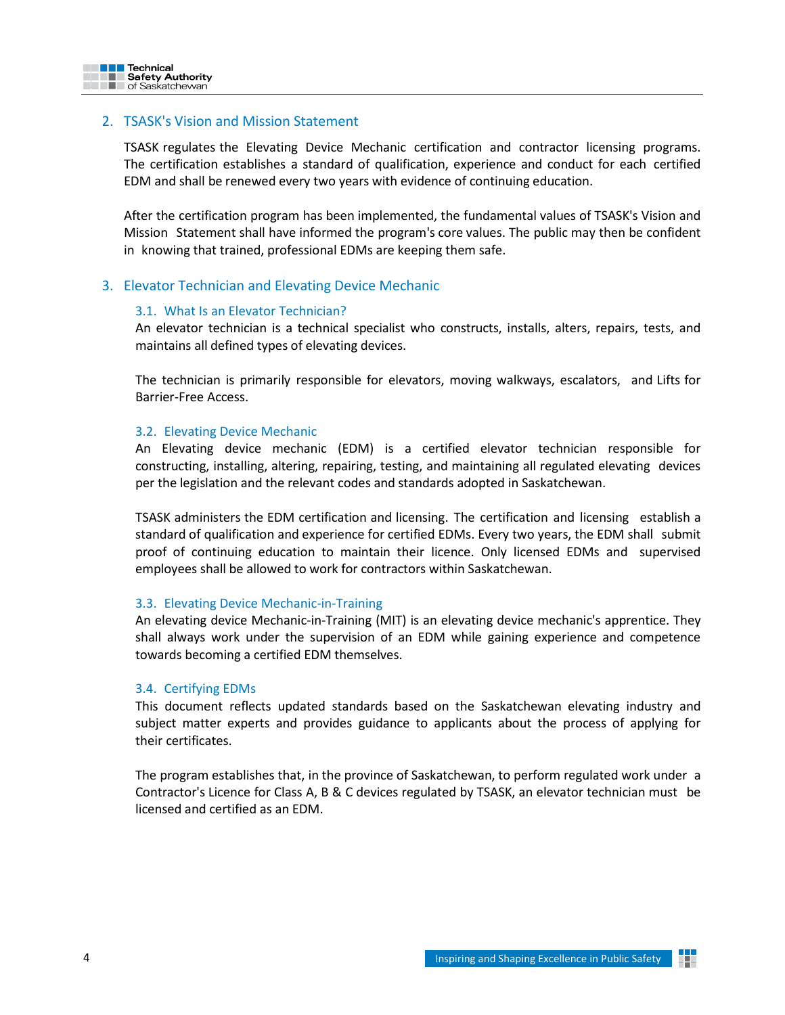

## <span id="page-3-0"></span>2. TSASK's Vision and Mission Statement

TSASK regulates the Elevating Device Mechanic certification and contractor licensing programs. The certification establishes a standard of qualification, experience and conduct for each certified EDM and shall be renewed every two years with evidence of continuing education.

After the certification program has been implemented, the fundamental values of TSASK's Vision and Mission Statement shall have informed the program's core values. The public may then be confident in knowing that trained, professional EDMs are keeping them safe.

## <span id="page-3-2"></span><span id="page-3-1"></span>3. Elevator Technician and Elevating Device Mechanic

#### 3.1. What Is an Elevator Technician?

An elevator technician is a technical specialist who constructs, installs, alters, repairs, tests, and maintains all defined types of elevating devices.

The technician is primarily responsible for elevators, moving walkways, escalators, and Lifts for Barrier-Free Access.

#### <span id="page-3-3"></span>3.2. Elevating Device Mechanic

An Elevating device mechanic (EDM) is a certified elevator technician responsible for constructing, installing, altering, repairing, testing, and maintaining all regulated elevating devices per the legislation and the relevant codes and standards adopted in Saskatchewan.

TSASK administers the EDM certification and licensing. The certification and licensing establish a standard of qualification and experience for certified EDMs. Every two years, the EDM shall submit proof of continuing education to maintain their licence. Only licensed EDMs and supervised employees shall be allowed to work for contractors within Saskatchewan.

#### <span id="page-3-4"></span>3.3. Elevating Device Mechanic-in-Training

An elevating device Mechanic-in-Training (MIT) is an elevating device mechanic's apprentice. They shall always work under the supervision of an EDM while gaining experience and competence towards becoming a certified EDM themselves.

#### <span id="page-3-5"></span>3.4. Certifying EDMs

This document reflects updated standards based on the Saskatchewan elevating industry and subject matter experts and provides guidance to applicants about the process of applying for their certificates.

The program establishes that, in the province of Saskatchewan, to perform regulated work under a Contractor's Licence for Class A, B & C devices regulated by TSASK, an elevator technician must be licensed and certified as an EDM.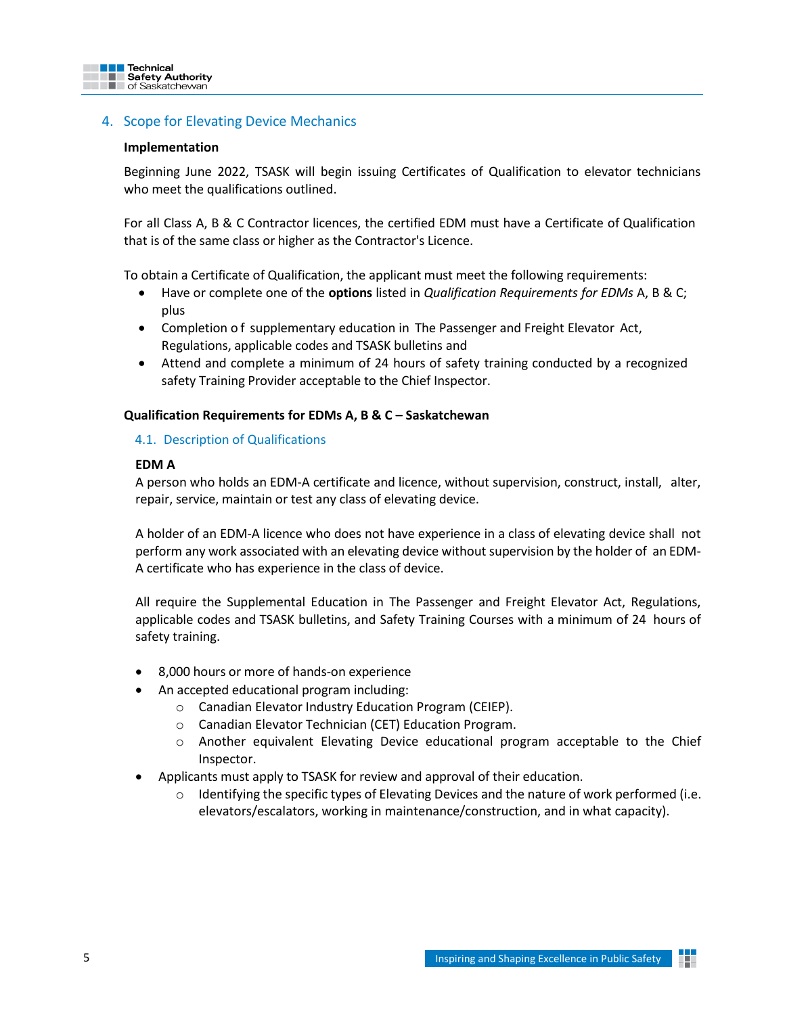

# <span id="page-4-0"></span>4. Scope for Elevating Device Mechanics

#### **Implementation**

Beginning June 2022, TSASK will begin issuing Certificates of Qualification to elevator technicians who meet the qualifications outlined.

For all Class A, B & C Contractor licences, the certified EDM must have a Certificate of Qualification that is of the same class or higher as the Contractor's Licence.

To obtain a Certificate of Qualification, the applicant must meet the following requirements:

- Have or complete one of the **options** listed in *Qualification Requirements for EDMs* A, B & C; plus
- Completion of supplementary education in The Passenger and Freight Elevator Act, Regulations, applicable codes and TSASK bulletins and
- Attend and complete a minimum of 24 hours of safety training conducted by a recognized safety Training Provider acceptable to the Chief Inspector.

## <span id="page-4-1"></span>**Qualification Requirements for EDMs A, B & C – Saskatchewan**

#### 4.1. Description of Qualifications

## **EDM A**

A person who holds an EDM-A certificate and licence, without supervision, construct, install, alter, repair, service, maintain or test any class of elevating device.

A holder of an EDM-A licence who does not have experience in a class of elevating device shall not perform any work associated with an elevating device without supervision by the holder of an EDM-A certificate who has experience in the class of device.

All require the Supplemental Education in The Passenger and Freight Elevator Act, Regulations, applicable codes and TSASK bulletins, and Safety Training Courses with a minimum of 24 hours of safety training.

- 8,000 hours or more of hands-on experience
- An accepted educational program including:
	- o Canadian Elevator Industry Education Program (CEIEP).
	- o Canadian Elevator Technician (CET) Education Program.
	- o Another equivalent Elevating Device educational program acceptable to the Chief Inspector.
- Applicants must apply to TSASK for review and approval of their education.
	- Identifying the specific types of Elevating Devices and the nature of work performed (i.e. elevators/escalators, working in maintenance/construction, and in what capacity).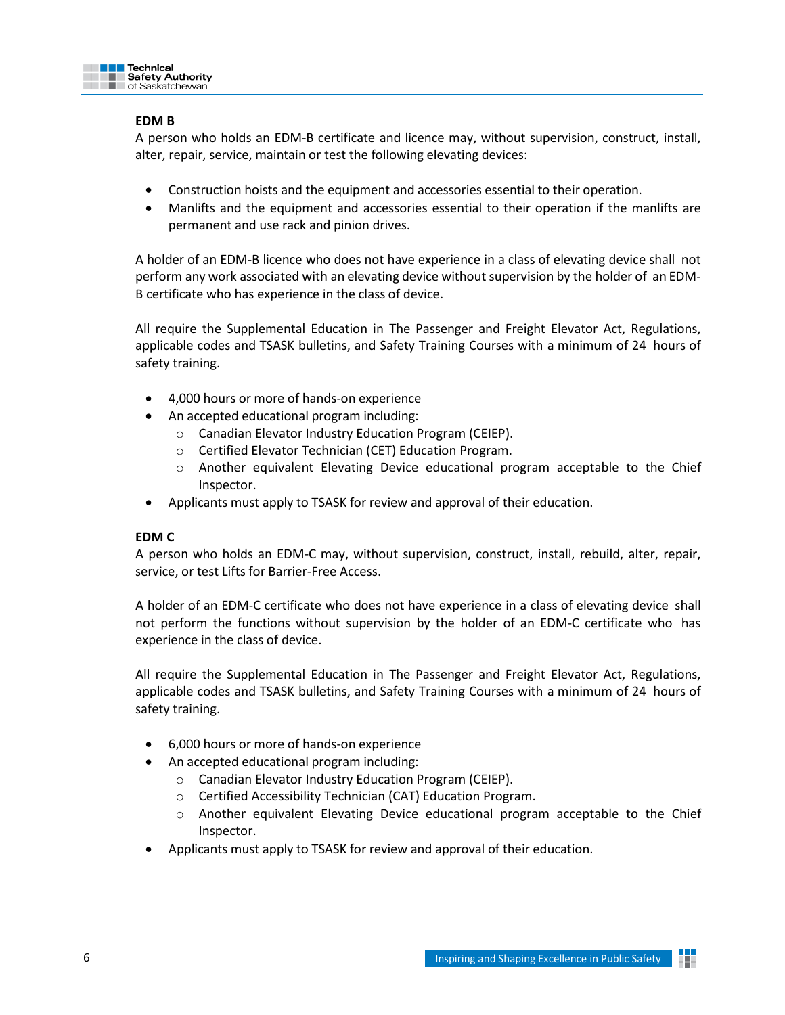

## **EDM B**

A person who holds an EDM-B certificate and licence may, without supervision, construct, install, alter, repair, service, maintain or test the following elevating devices:

- Construction hoists and the equipment and accessories essential to their operation.
- Manlifts and the equipment and accessories essential to their operation if the manlifts are permanent and use rack and pinion drives.

A holder of an EDM-B licence who does not have experience in a class of elevating device shall not perform any work associated with an elevating device without supervision by the holder of an EDM-B certificate who has experience in the class of device.

All require the Supplemental Education in The Passenger and Freight Elevator Act, Regulations, applicable codes and TSASK bulletins, and Safety Training Courses with a minimum of 24 hours of safety training.

- 4,000 hours or more of hands-on experience
- An accepted educational program including:
	- o Canadian Elevator Industry Education Program (CEIEP).
	- o Certified Elevator Technician (CET) Education Program.
	- o Another equivalent Elevating Device educational program acceptable to the Chief Inspector.
- Applicants must apply to TSASK for review and approval of their education.

## **EDM C**

A person who holds an EDM-C may, without supervision, construct, install, rebuild, alter, repair, service, or test Lifts for Barrier-Free Access.

A holder of an EDM-C certificate who does not have experience in a class of elevating device shall not perform the functions without supervision by the holder of an EDM-C certificate who has experience in the class of device.

All require the Supplemental Education in The Passenger and Freight Elevator Act, Regulations, applicable codes and TSASK bulletins, and Safety Training Courses with a minimum of 24 hours of safety training.

- 6,000 hours or more of hands-on experience
- An accepted educational program including:
	- o Canadian Elevator Industry Education Program (CEIEP).
	- o Certified Accessibility Technician (CAT) Education Program.
	- o Another equivalent Elevating Device educational program acceptable to the Chief Inspector.
- Applicants must apply to TSASK for review and approval of their education.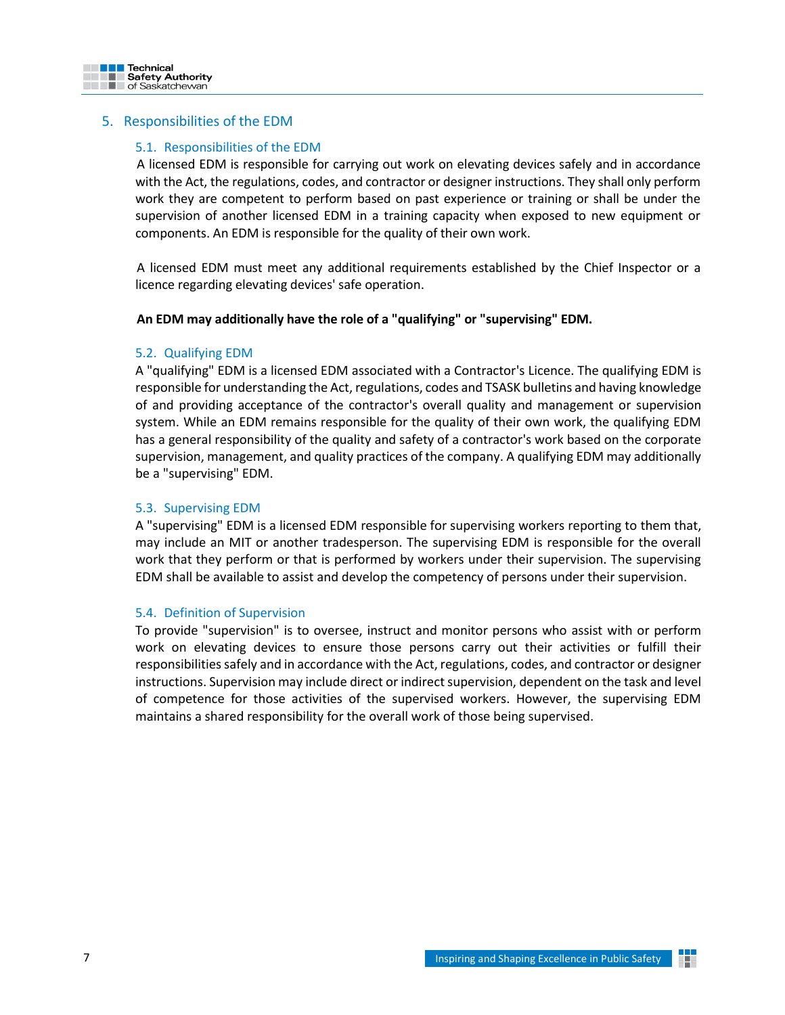

## <span id="page-6-1"></span><span id="page-6-0"></span>5. Responsibilities of the EDM

#### 5.1. Responsibilities of the EDM

A licensed EDM is responsible for carrying out work on elevating devices safely and in accordance with the Act, the regulations, codes, and contractor or designer instructions. They shall only perform work they are competent to perform based on past experience or training or shall be under the supervision of another licensed EDM in a training capacity when exposed to new equipment or components. An EDM is responsible for the quality of their own work.

A licensed EDM must meet any additional requirements established by the Chief Inspector or a licence regarding elevating devices' safe operation.

#### **An EDM may additionally have the role of a "qualifying" or "supervising" EDM.**

#### <span id="page-6-2"></span>5.2. Qualifying EDM

A "qualifying" EDM is a licensed EDM associated with a Contractor's Licence. The qualifying EDM is responsible for understanding the Act, regulations, codes and TSASK bulletins and having knowledge of and providing acceptance of the contractor's overall quality and management or supervision system. While an EDM remains responsible for the quality of their own work, the qualifying EDM has a general responsibility of the quality and safety of a contractor's work based on the corporate supervision, management, and quality practices of the company. A qualifying EDM may additionally be a "supervising" EDM.

#### <span id="page-6-3"></span>5.3. Supervising EDM

A "supervising" EDM is a licensed EDM responsible for supervising workers reporting to them that, may include an MIT or another tradesperson. The supervising EDM is responsible for the overall work that they perform or that is performed by workers under their supervision. The supervising EDM shall be available to assist and develop the competency of persons under their supervision.

#### <span id="page-6-4"></span>5.4. Definition of Supervision

To provide "supervision" is to oversee, instruct and monitor persons who assist with or perform work on elevating devices to ensure those persons carry out their activities or fulfill their responsibilities safely and in accordance with the Act, regulations, codes, and contractor or designer instructions. Supervision may include direct or indirect supervision, dependent on the task and level of competence for those activities of the supervised workers. However, the supervising EDM maintains a shared responsibility for the overall work of those being supervised.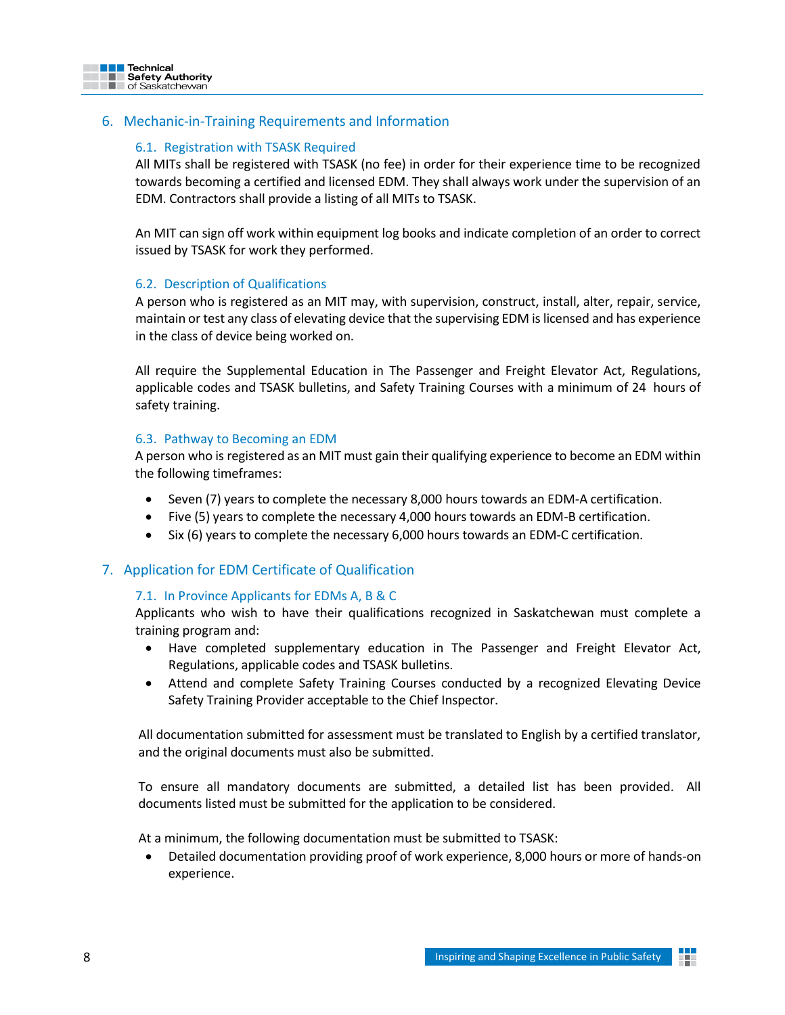

# <span id="page-7-1"></span><span id="page-7-0"></span>6. Mechanic-in-Training Requirements and Information

## 6.1. Registration with TSASK Required

All MITs shall be registered with TSASK (no fee) in order for their experience time to be recognized towards becoming a certified and licensed EDM. They shall always work under the supervision of an EDM. Contractors shall provide a listing of all MITs to TSASK.

An MIT can sign off work within equipment log books and indicate completion of an order to correct issued by TSASK for work they performed.

## <span id="page-7-2"></span>6.2. Description of Qualifications

A person who is registered as an MIT may, with supervision, construct, install, alter, repair, service, maintain or test any class of elevating device that the supervising EDM is licensed and has experience in the class of device being worked on.

All require the Supplemental Education in The Passenger and Freight Elevator Act, Regulations, applicable codes and TSASK bulletins, and Safety Training Courses with a minimum of 24 hours of safety training.

## <span id="page-7-3"></span>6.3. Pathway to Becoming an EDM

A person who is registered as an MIT must gain their qualifying experience to become an EDM within the following timeframes:

- Seven (7) years to complete the necessary 8,000 hours towards an EDM-A certification.
- Five (5) years to complete the necessary 4,000 hours towards an EDM-B certification.
- Six (6) years to complete the necessary 6,000 hours towards an EDM-C certification.

## <span id="page-7-5"></span><span id="page-7-4"></span>7. Application for EDM Certificate of Qualification

#### 7.1. In Province Applicants for EDMs A, B & C

Applicants who wish to have their qualifications recognized in Saskatchewan must complete a training program and:

- Have completed supplementary education in The Passenger and Freight Elevator Act, Regulations, applicable codes and TSASK bulletins.
- Attend and complete Safety Training Courses conducted by a recognized Elevating Device Safety Training Provider acceptable to the Chief Inspector.

All documentation submitted for assessment must be translated to English by a certified translator, and the original documents must also be submitted.

To ensure all mandatory documents are submitted, a detailed list has been provided. All documents listed must be submitted for the application to be considered.

At a minimum, the following documentation must be submitted to TSASK:

• Detailed documentation providing proof of work experience, 8,000 hours or more of hands-on experience.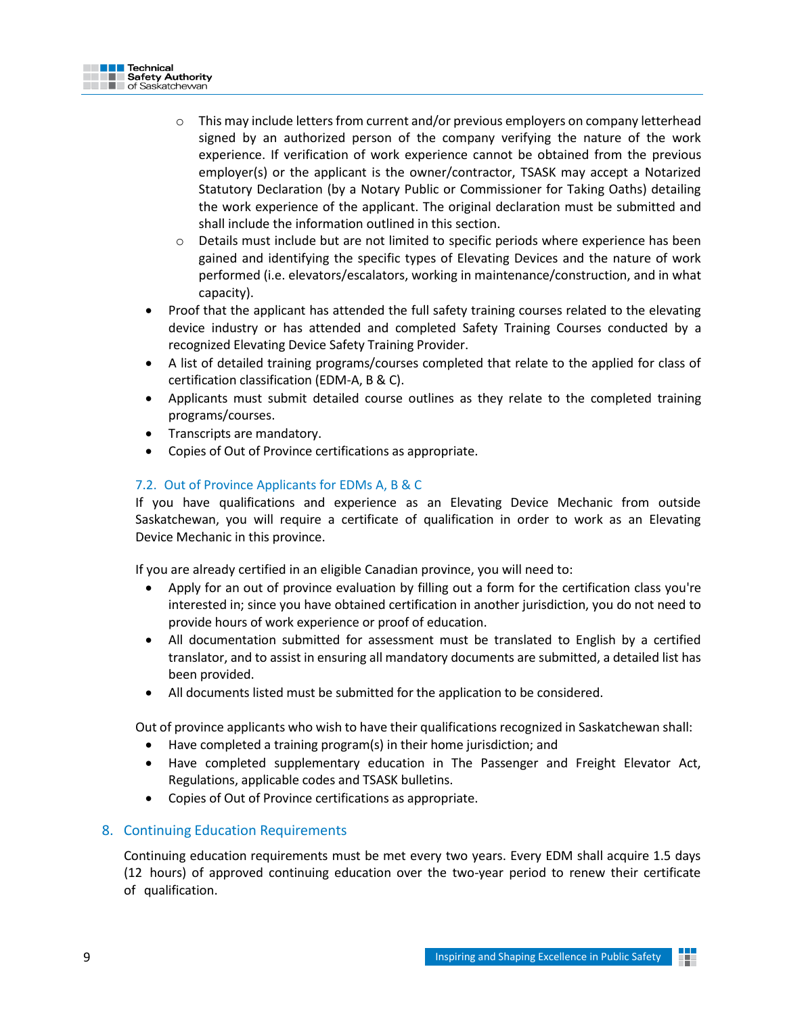

- o This may include letters from current and/or previous employers on company letterhead signed by an authorized person of the company verifying the nature of the work experience. If verification of work experience cannot be obtained from the previous employer(s) or the applicant is the owner/contractor, TSASK may accept a Notarized Statutory Declaration (by a Notary Public or Commissioner for Taking Oaths) detailing the work experience of the applicant. The original declaration must be submitted and shall include the information outlined in this section.
- o Details must include but are not limited to specific periods where experience has been gained and identifying the specific types of Elevating Devices and the nature of work performed (i.e. elevators/escalators, working in maintenance/construction, and in what capacity).
- Proof that the applicant has attended the full safety training courses related to the elevating device industry or has attended and completed Safety Training Courses conducted by a recognized Elevating Device Safety Training Provider.
- A list of detailed training programs/courses completed that relate to the applied for class of certification classification (EDM-A, B & C).
- Applicants must submit detailed course outlines as they relate to the completed training programs/courses.
- Transcripts are mandatory.
- Copies of Out of Province certifications as appropriate.

# <span id="page-8-0"></span>7.2. Out of Province Applicants for EDMs A, B & C

If you have qualifications and experience as an Elevating Device Mechanic from outside Saskatchewan, you will require a certificate of qualification in order to work as an Elevating Device Mechanic in this province.

If you are already certified in an eligible Canadian province, you will need to:

- Apply for an out of province evaluation by filling out a form for the certification class you're interested in; since you have obtained certification in another jurisdiction, you do not need to provide hours of work experience or proof of education.
- All documentation submitted for assessment must be translated to English by a certified translator, and to assist in ensuring all mandatory documents are submitted, a detailed list has been provided.
- All documents listed must be submitted for the application to be considered.

Out of province applicants who wish to have their qualifications recognized in Saskatchewan shall:

- Have completed a training program(s) in their home jurisdiction; and
- Have completed supplementary education in The Passenger and Freight Elevator Act, Regulations, applicable codes and TSASK bulletins.
- Copies of Out of Province certifications as appropriate.

# <span id="page-8-1"></span>8. Continuing Education Requirements

Continuing education requirements must be met every two years. Every EDM shall acquire 1.5 days (12 hours) of approved continuing education over the two-year period to renew their certificate of qualification.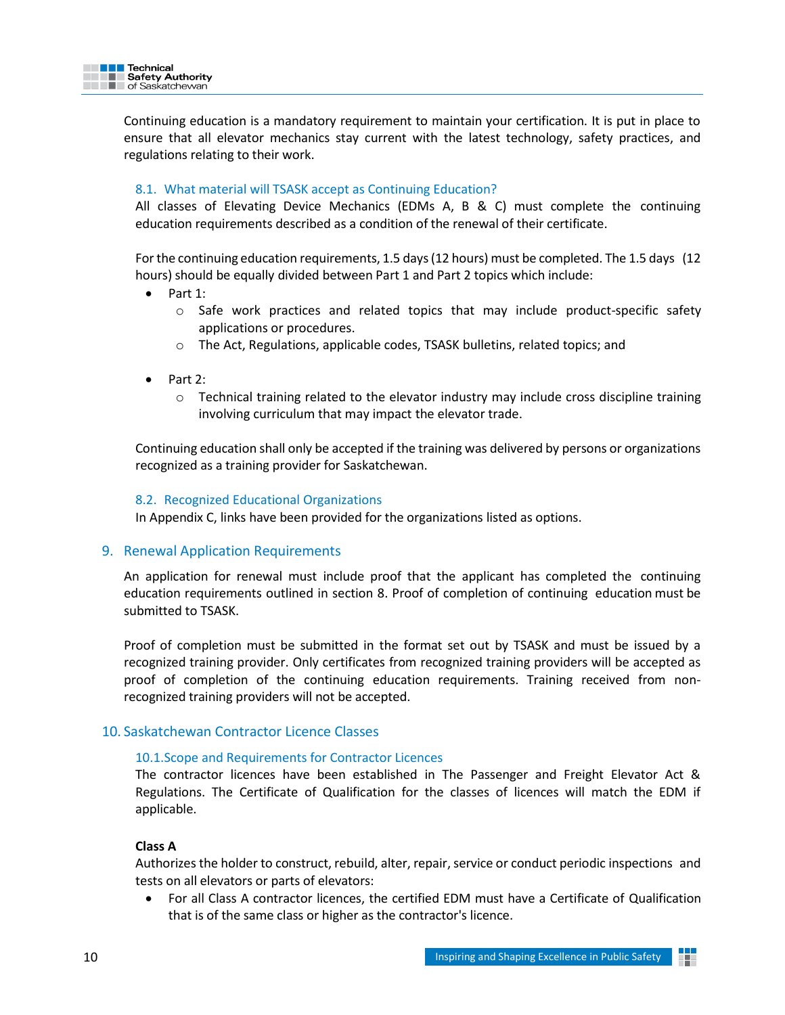

Continuing education is a mandatory requirement to maintain your certification. It is put in place to ensure that all elevator mechanics stay current with the latest technology, safety practices, and regulations relating to their work.

#### <span id="page-9-0"></span>8.1. What material will TSASK accept as Continuing Education?

All classes of Elevating Device Mechanics (EDMs A, B & C) must complete the continuing education requirements described as a condition of the renewal of their certificate.

Forthe continuing education requirements, 1.5 days(12 hours) must be completed. The 1.5 days (12 hours) should be equally divided between Part 1 and Part 2 topics which include:

- Part 1:
	- o Safe work practices and related topics that may include product-specific safety applications or procedures.
	- o The Act, Regulations, applicable codes, TSASK bulletins, related topics; and
- Part 2:
	- $\circ$  Technical training related to the elevator industry may include cross discipline training involving curriculum that may impact the elevator trade.

Continuing education shall only be accepted if the training was delivered by persons or organizations recognized as a training provider for Saskatchewan.

#### <span id="page-9-1"></span>8.2. Recognized Educational Organizations

In Appendix C, links have been provided for the organizations listed as options.

#### <span id="page-9-2"></span>9. Renewal Application Requirements

An application for renewal must include proof that the applicant has completed the continuing education requirements outlined in section 8. Proof of completion of continuing education must be submitted to TSASK.

Proof of completion must be submitted in the format set out by TSASK and must be issued by a recognized training provider. Only certificates from recognized training providers will be accepted as proof of completion of the continuing education requirements. Training received from nonrecognized training providers will not be accepted.

## <span id="page-9-4"></span><span id="page-9-3"></span>10. Saskatchewan Contractor Licence Classes

#### 10.1.Scope and Requirements for Contractor Licences

The contractor licences have been established in The Passenger and Freight Elevator Act & Regulations. The Certificate of Qualification for the classes of licences will match the EDM if applicable.

#### **Class A**

Authorizes the holder to construct, rebuild, alter, repair, service or conduct periodic inspections and tests on all elevators or parts of elevators:

• For all Class A contractor licences, the certified EDM must have a Certificate of Qualification that is of the same class or higher as the contractor's licence.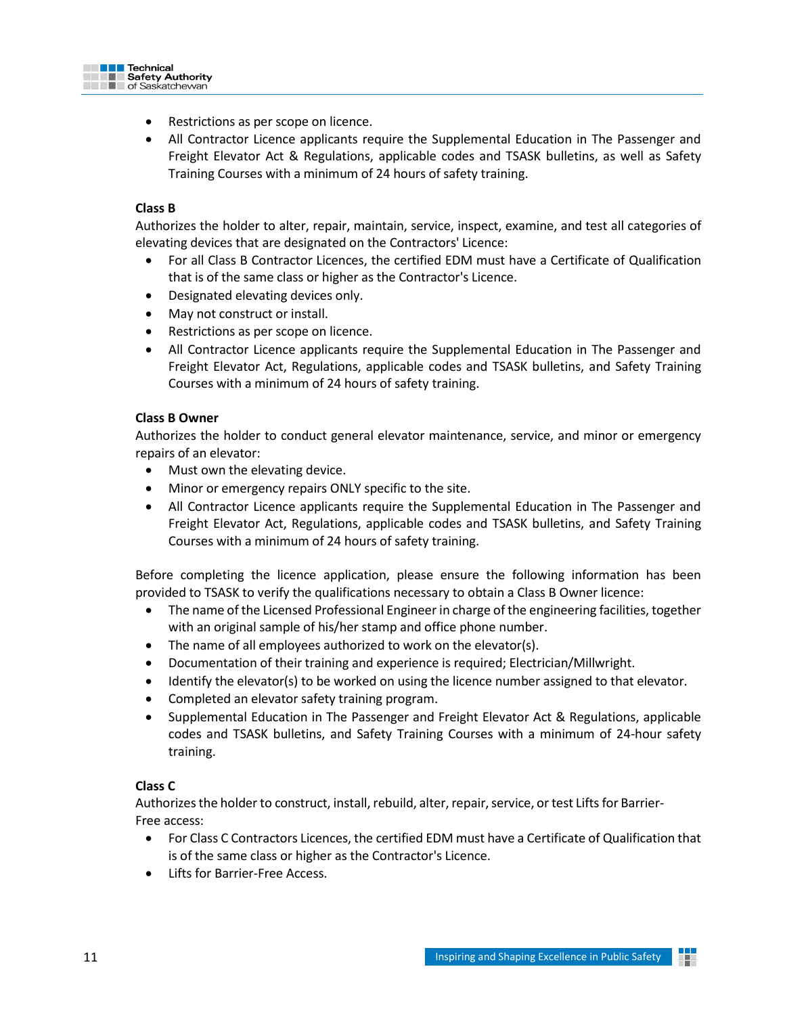

- Restrictions as per scope on licence.
- All Contractor Licence applicants require the Supplemental Education in The Passenger and Freight Elevator Act & Regulations, applicable codes and TSASK bulletins, as well as Safety Training Courses with a minimum of 24 hours of safety training.

## **Class B**

Authorizes the holder to alter, repair, maintain, service, inspect, examine, and test all categories of elevating devices that are designated on the Contractors' Licence:

- For all Class B Contractor Licences, the certified EDM must have a Certificate of Qualification that is of the same class or higher as the Contractor's Licence.
- Designated elevating devices only.
- May not construct or install.
- Restrictions as per scope on licence.
- All Contractor Licence applicants require the Supplemental Education in The Passenger and Freight Elevator Act, Regulations, applicable codes and TSASK bulletins, and Safety Training Courses with a minimum of 24 hours of safety training.

#### **Class B Owner**

Authorizes the holder to conduct general elevator maintenance, service, and minor or emergency repairs of an elevator:

- Must own the elevating device.
- Minor or emergency repairs ONLY specific to the site.
- All Contractor Licence applicants require the Supplemental Education in The Passenger and Freight Elevator Act, Regulations, applicable codes and TSASK bulletins, and Safety Training Courses with a minimum of 24 hours of safety training.

Before completing the licence application, please ensure the following information has been provided to TSASK to verify the qualifications necessary to obtain a Class B Owner licence:

- The name of the Licensed Professional Engineer in charge of the engineering facilities, together with an original sample of his/her stamp and office phone number.
- The name of all employees authorized to work on the elevator(s).
- Documentation of their training and experience is required; Electrician/Millwright.
- Identify the elevator(s) to be worked on using the licence number assigned to that elevator.
- Completed an elevator safety training program.
- Supplemental Education in The Passenger and Freight Elevator Act & Regulations, applicable codes and TSASK bulletins, and Safety Training Courses with a minimum of 24-hour safety training.

#### **Class C**

Authorizes the holder to construct, install, rebuild, alter, repair, service, or test Lifts for Barrier-Free access:

- For Class C Contractors Licences, the certified EDM must have a Certificate of Qualification that is of the same class or higher as the Contractor's Licence.
- Lifts for Barrier-Free Access.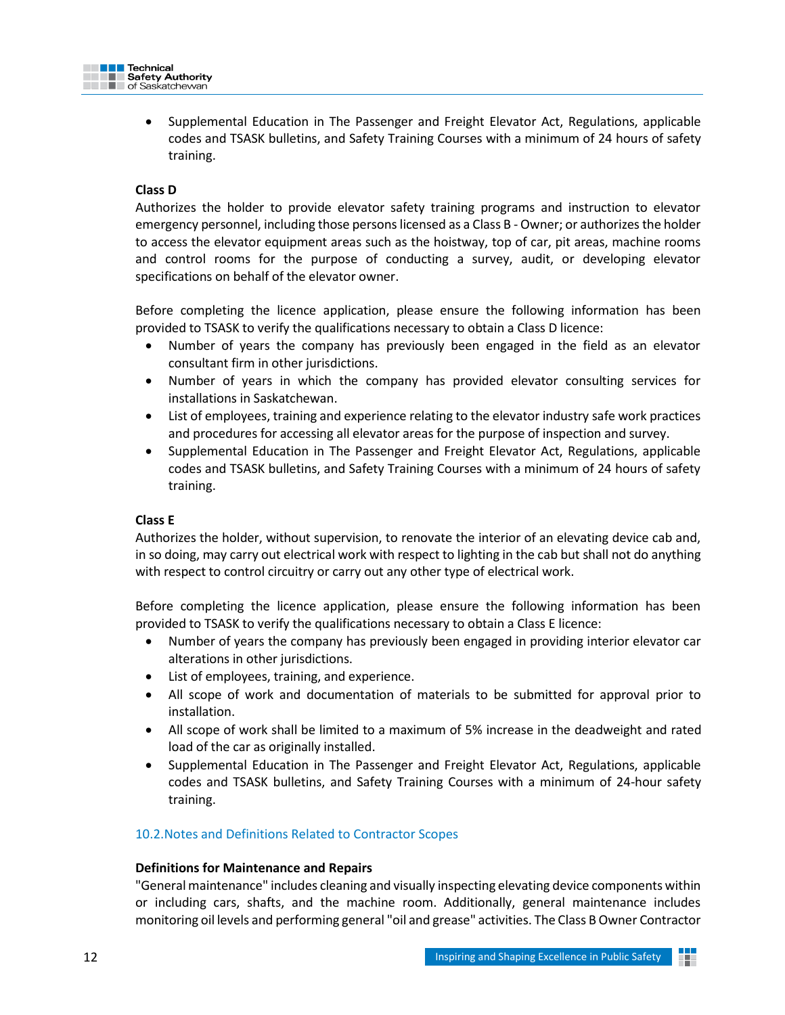

• Supplemental Education in The Passenger and Freight Elevator Act, Regulations, applicable codes and TSASK bulletins, and Safety Training Courses with a minimum of 24 hours of safety training.

# **Class D**

Authorizes the holder to provide elevator safety training programs and instruction to elevator emergency personnel, including those persons licensed as a Class B - Owner; or authorizes the holder to access the elevator equipment areas such as the hoistway, top of car, pit areas, machine rooms and control rooms for the purpose of conducting a survey, audit, or developing elevator specifications on behalf of the elevator owner.

Before completing the licence application, please ensure the following information has been provided to TSASK to verify the qualifications necessary to obtain a Class D licence:

- Number of years the company has previously been engaged in the field as an elevator consultant firm in other jurisdictions.
- Number of years in which the company has provided elevator consulting services for installations in Saskatchewan.
- List of employees, training and experience relating to the elevator industry safe work practices and procedures for accessing all elevator areas for the purpose of inspection and survey.
- Supplemental Education in The Passenger and Freight Elevator Act, Regulations, applicable codes and TSASK bulletins, and Safety Training Courses with a minimum of 24 hours of safety training.

## **Class E**

Authorizes the holder, without supervision, to renovate the interior of an elevating device cab and, in so doing, may carry out electrical work with respect to lighting in the cab but shall not do anything with respect to control circuitry or carry out any other type of electrical work.

Before completing the licence application, please ensure the following information has been provided to TSASK to verify the qualifications necessary to obtain a Class E licence:

- Number of years the company has previously been engaged in providing interior elevator car alterations in other jurisdictions.
- List of employees, training, and experience.
- All scope of work and documentation of materials to be submitted for approval prior to installation.
- All scope of work shall be limited to a maximum of 5% increase in the deadweight and rated load of the car as originally installed.
- Supplemental Education in The Passenger and Freight Elevator Act, Regulations, applicable codes and TSASK bulletins, and Safety Training Courses with a minimum of 24-hour safety training.

## <span id="page-11-0"></span>10.2.Notes and Definitions Related to Contractor Scopes

## **Definitions for Maintenance and Repairs**

"General maintenance" includes cleaning and visually inspecting elevating device components within or including cars, shafts, and the machine room. Additionally, general maintenance includes monitoring oil levels and performing general "oil and grease" activities. The Class B Owner Contractor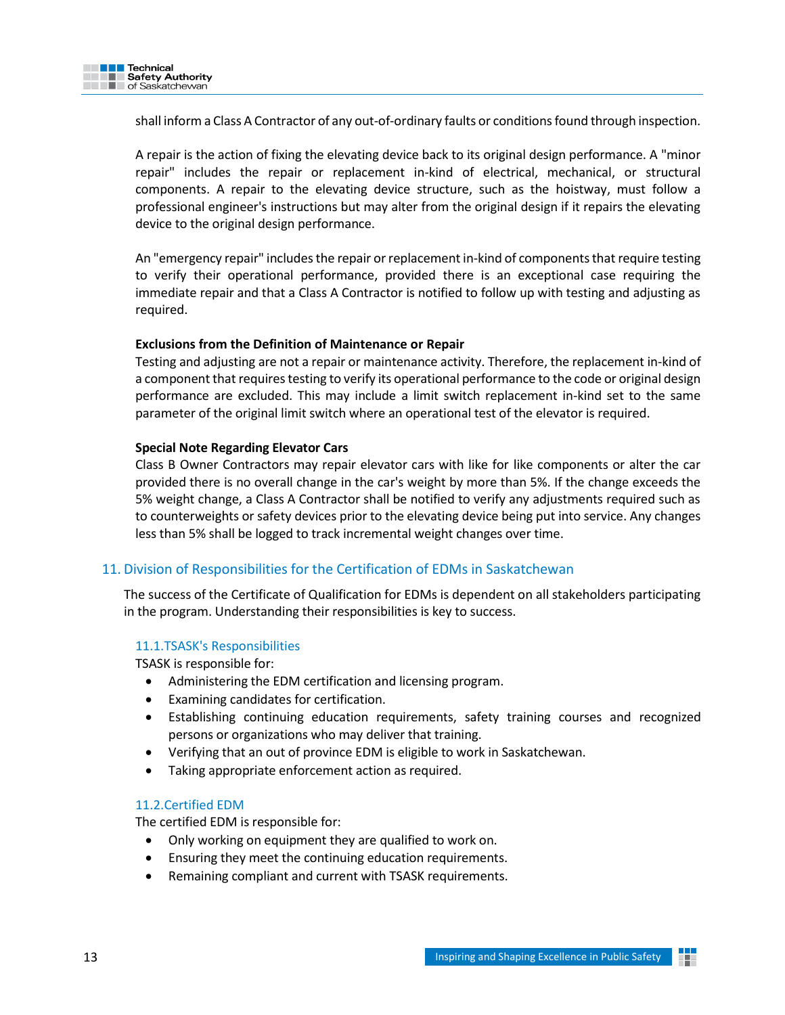

shall inform a Class A Contractor of any out-of-ordinary faults or conditions found through inspection.

A repair is the action of fixing the elevating device back to its original design performance. A "minor repair" includes the repair or replacement in-kind of electrical, mechanical, or structural components. A repair to the elevating device structure, such as the hoistway, must follow a professional engineer's instructions but may alter from the original design if it repairs the elevating device to the original design performance.

An "emergency repair" includes the repair or replacement in-kind of components that require testing to verify their operational performance, provided there is an exceptional case requiring the immediate repair and that a Class A Contractor is notified to follow up with testing and adjusting as required.

#### **Exclusions from the Definition of Maintenance or Repair**

Testing and adjusting are not a repair or maintenance activity. Therefore, the replacement in-kind of a component that requires testing to verify its operational performance to the code or original design performance are excluded. This may include a limit switch replacement in-kind set to the same parameter of the original limit switch where an operational test of the elevator is required.

## **Special Note Regarding Elevator Cars**

Class B Owner Contractors may repair elevator cars with like for like components or alter the car provided there is no overall change in the car's weight by more than 5%. If the change exceeds the 5% weight change, a Class A Contractor shall be notified to verify any adjustments required such as to counterweights or safety devices prior to the elevating device being put into service. Any changes less than 5% shall be logged to track incremental weight changes over time.

## <span id="page-12-0"></span>11. Division of Responsibilities for the Certification of EDMs in Saskatchewan

The success of the Certificate of Qualification for EDMs is dependent on all stakeholders participating in the program. Understanding their responsibilities is key to success.

#### <span id="page-12-1"></span>11.1.TSASK's Responsibilities

TSASK is responsible for:

- Administering the EDM certification and licensing program.
- Examining candidates for certification.
- Establishing continuing education requirements, safety training courses and recognized persons or organizations who may deliver that training.
- Verifying that an out of province EDM is eligible to work in Saskatchewan.
- Taking appropriate enforcement action as required.

#### <span id="page-12-2"></span>11.2.Certified EDM

The certified EDM is responsible for:

- Only working on equipment they are qualified to work on.
- Ensuring they meet the continuing education requirements.
- Remaining compliant and current with TSASK requirements.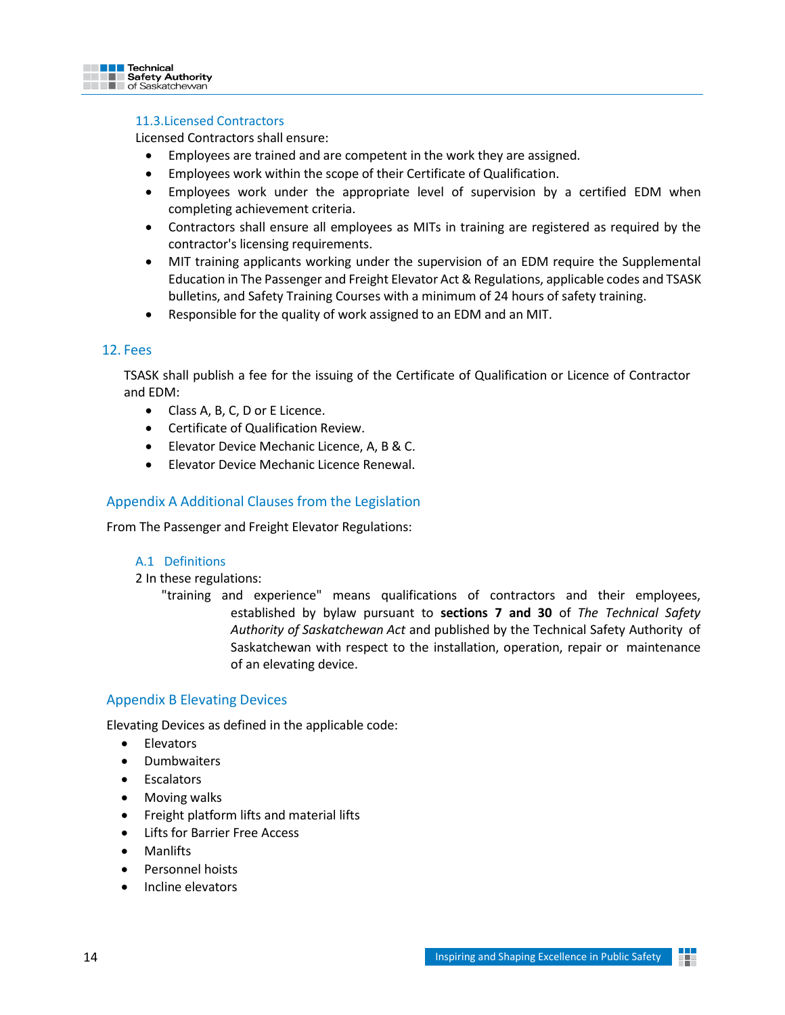<span id="page-13-0"></span>

## 11.3.Licensed Contractors

Licensed Contractors shall ensure:

- Employees are trained and are competent in the work they are assigned.
- Employees work within the scope of their Certificate of Qualification.
- Employees work under the appropriate level of supervision by a certified EDM when completing achievement criteria.
- Contractors shall ensure all employees as MITs in training are registered as required by the contractor's licensing requirements.
- MIT training applicants working under the supervision of an EDM require the Supplemental Education in The Passenger and Freight Elevator Act & Regulations, applicable codes and TSASK bulletins, and Safety Training Courses with a minimum of 24 hours of safety training.
- Responsible for the quality of work assigned to an EDM and an MIT.

## <span id="page-13-1"></span>12. Fees

TSASK shall publish a fee for the issuing of the Certificate of Qualification or Licence of Contractor and EDM:

- Class A, B, C, D or E Licence.
- Certificate of Qualification Review.
- Elevator Device Mechanic Licence, A, B & C.
- Elevator Device Mechanic Licence Renewal.

# <span id="page-13-2"></span>Appendix A Additional Clauses from the Legislation

From The Passenger and Freight Elevator Regulations:

#### A.1 Definitions

2 In these regulations:

"training and experience" means qualifications of contractors and their employees, established by bylaw pursuant to **sections 7 and 30** of *The Technical Safety Authority of Saskatchewan Act* and published by the Technical Safety Authority of Saskatchewan with respect to the installation, operation, repair or maintenance of an elevating device.

#### <span id="page-13-3"></span>Appendix B Elevating Devices

Elevating Devices as defined in the applicable code:

- Elevators
- Dumbwaiters
- Escalators
- Moving walks
- Freight platform lifts and material lifts
- Lifts for Barrier Free Access
- Manlifts
- Personnel hoists
- Incline elevators